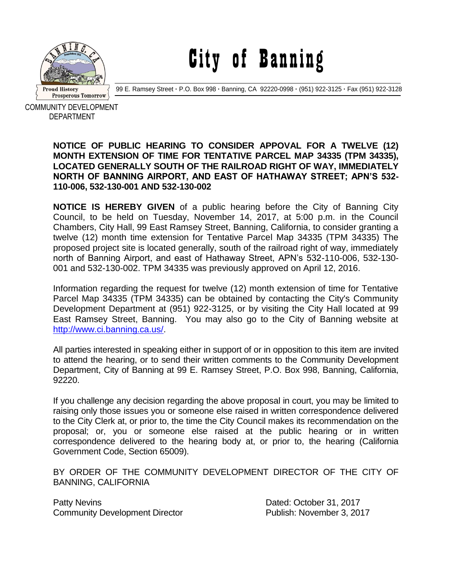

City of Banning

99 E. Ramsey Street **·** P.O. Box 998 **·** Banning, CA 92220-0998 **·** (951) 922-3125 **·** Fax (951) 922-3128

COMMUNITY DEVELOPMENT DEPARTMENT

## **NOTICE OF PUBLIC HEARING TO CONSIDER APPOVAL FOR A TWELVE (12) MONTH EXTENSION OF TIME FOR TENTATIVE PARCEL MAP 34335 (TPM 34335), LOCATED GENERALLY SOUTH OF THE RAILROAD RIGHT OF WAY, IMMEDIATELY NORTH OF BANNING AIRPORT, AND EAST OF HATHAWAY STREET; APN'S 532- 110-006, 532-130-001 AND 532-130-002**

**NOTICE IS HEREBY GIVEN** of a public hearing before the City of Banning City Council, to be held on Tuesday, November 14, 2017, at 5:00 p.m. in the Council Chambers, City Hall, 99 East Ramsey Street, Banning, California, to consider granting a twelve (12) month time extension for Tentative Parcel Map 34335 (TPM 34335) The proposed project site is located generally, south of the railroad right of way, immediately north of Banning Airport, and east of Hathaway Street, APN's 532-110-006, 532-130- 001 and 532-130-002. TPM 34335 was previously approved on April 12, 2016.

Information regarding the request for twelve (12) month extension of time for Tentative Parcel Map 34335 (TPM 34335) can be obtained by contacting the City's Community Development Department at (951) 922-3125, or by visiting the City Hall located at 99 East Ramsey Street, Banning. You may also go to the City of Banning website at [http://www.ci.banning.ca.us/.](http://www.ci.banning.ca.us/)

All parties interested in speaking either in support of or in opposition to this item are invited to attend the hearing, or to send their written comments to the Community Development Department, City of Banning at 99 E. Ramsey Street, P.O. Box 998, Banning, California, 92220.

If you challenge any decision regarding the above proposal in court, you may be limited to raising only those issues you or someone else raised in written correspondence delivered to the City Clerk at, or prior to, the time the City Council makes its recommendation on the proposal; or, you or someone else raised at the public hearing or in written correspondence delivered to the hearing body at, or prior to, the hearing (California Government Code, Section 65009).

BY ORDER OF THE COMMUNITY DEVELOPMENT DIRECTOR OF THE CITY OF BANNING, CALIFORNIA

Patty Nevins **Patty News** 2017 Community Development Director **Publish: November 3, 2017**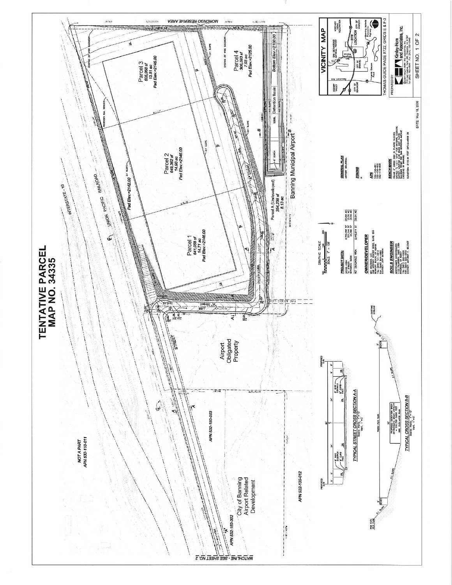